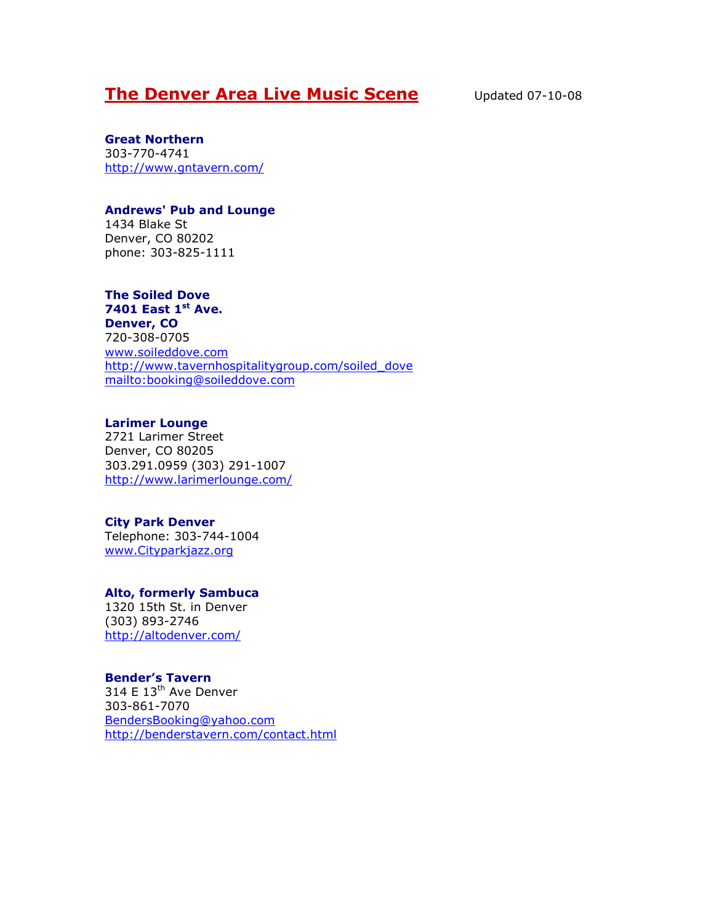# The Denver Area Live Music Scene Updated 07-10-08

# Great Northern

303-770-4741 http://www.gntavern.com/

### Andrews' Pub and Lounge

1434 Blake St Denver, CO 80202 phone: 303-825-1111

# The Soiled Dove

7401 East  $1<sup>st</sup>$  Ave. Denver, CO 720-308-0705 www.soileddove.com http://www.tavernhospitalitygroup.com/soiled\_dove mailto:booking@soileddove.com

# Larimer Lounge

2721 Larimer Street Denver, CO 80205 303.291.0959 (303) 291-1007 http://www.larimerlounge.com/

#### City Park Denver

Telephone: 303-744-1004 www.Cityparkjazz.org

# Alto, formerly Sambuca

1320 15th St. in Denver (303) 893-2746 http://altodenver.com/

#### Bender's Tavern

314 E 13<sup>th</sup> Ave Denver 303-861-7070 BendersBooking@yahoo.com http://benderstavern.com/contact.html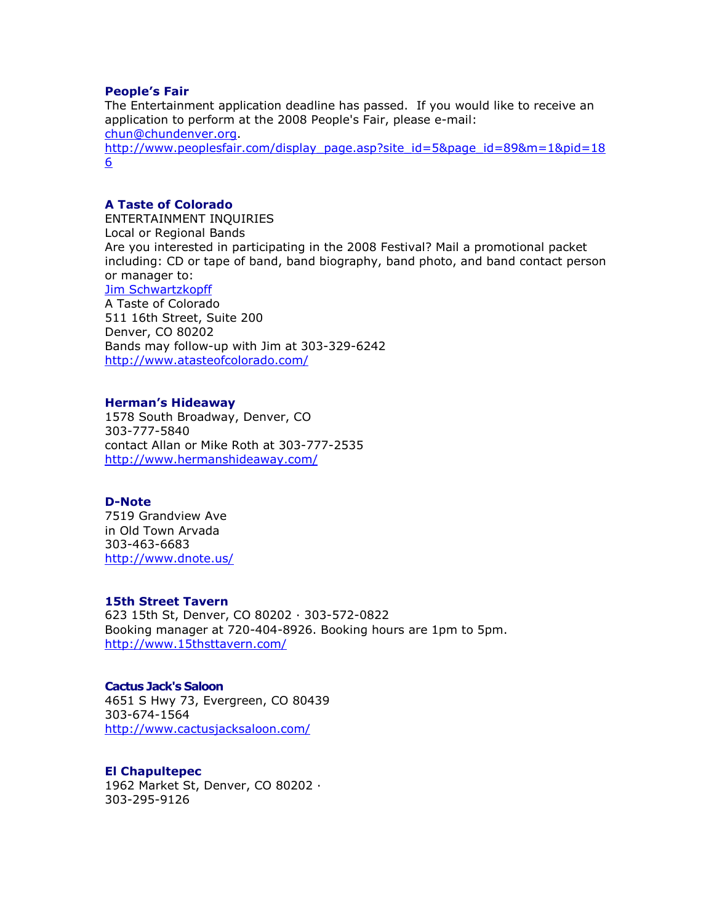#### People's Fair

The Entertainment application deadline has passed. If you would like to receive an application to perform at the 2008 People's Fair, please e-mail: chun@chundenver.org. http://www.peoplesfair.com/display\_page.asp?site\_id=5&page\_id=89&m=1&pid=18 6

### A Taste of Colorado

ENTERTAINMENT INQUIRIES Local or Regional Bands Are you interested in participating in the 2008 Festival? Mail a promotional packet including: CD or tape of band, band biography, band photo, and band contact person or manager to: Jim Schwartzkopff A Taste of Colorado 511 16th Street, Suite 200 Denver, CO 80202 Bands may follow-up with Jim at 303-329-6242

http://www.atasteofcolorado.com/

#### Herman's Hideaway

1578 South Broadway, Denver, CO 303-777-5840 contact Allan or Mike Roth at 303-777-2535 http://www.hermanshideaway.com/

#### D-Note

7519 Grandview Ave in Old Town Arvada 303-463-6683 http://www.dnote.us/

#### 15th Street Tavern

623 15th St, Denver, CO 80202 303-572-0822 Booking manager at 720-404-8926. Booking hours are 1pm to 5pm. http://www.15thsttavern.com/

#### Cactus Jack's Saloon

4651 S Hwy 73, Evergreen, CO 80439 303-674-1564 http://www.cactusjacksaloon.com/

#### El Chapultepec

1962 Market St, Denver, CO 80202 · 303-295-9126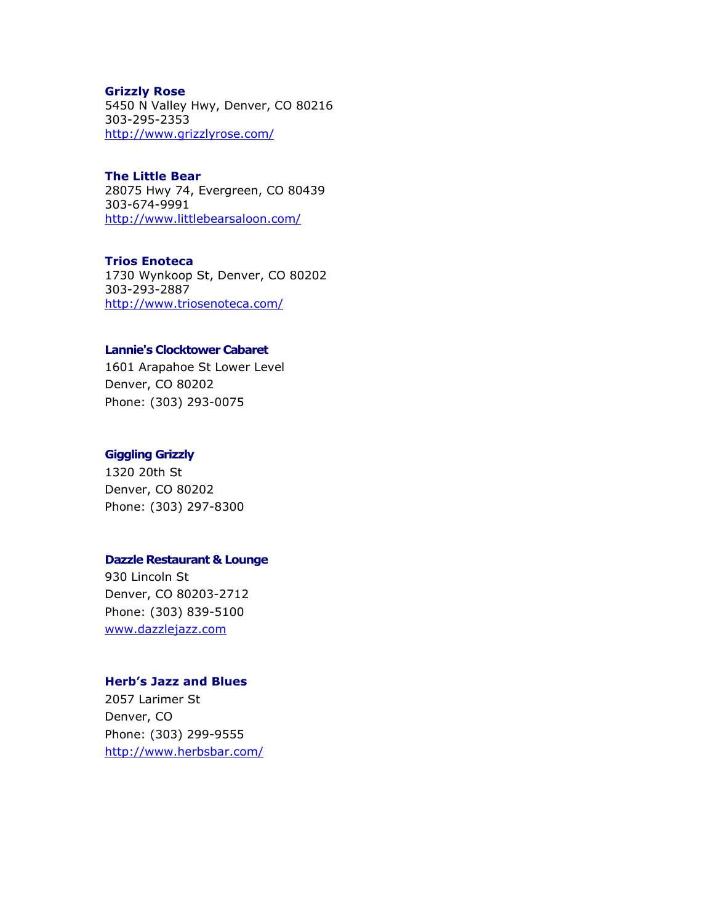#### Grizzly Rose

5450 N Valley Hwy, Denver, CO 80216 303-295-2353 http://www.grizzlyrose.com/

## The Little Bear

28075 Hwy 74, Evergreen, CO 80439 303-674-9991 http://www.littlebearsaloon.com/

# Trios Enoteca

1730 Wynkoop St, Denver, CO 80202 303-293-2887 http://www.triosenoteca.com/

### Lannie's Clocktower Cabaret

1601 Arapahoe St Lower Level Denver, CO 80202 Phone: (303) 293-0075

# Giggling Grizzly

1320 20th St Denver, CO 80202 Phone: (303) 297-8300

# Dazzle Restaurant & Lounge

930 Lincoln St Denver, CO 80203-2712 Phone: (303) 839-5100 www.dazzlejazz.com

# Herb's Jazz and Blues

2057 Larimer St Denver, CO Phone: (303) 299-9555 http://www.herbsbar.com/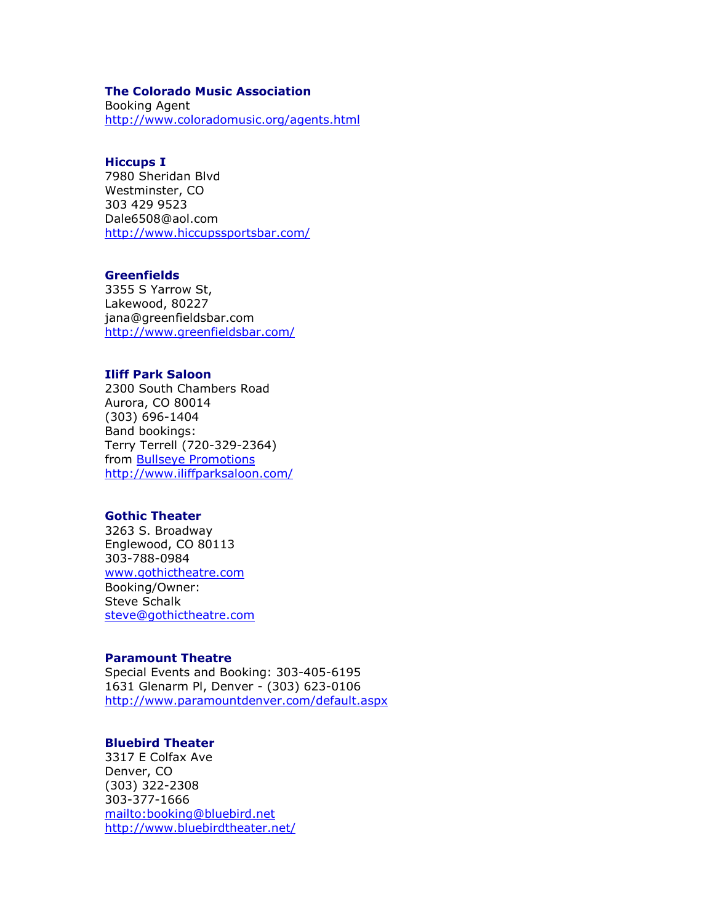# The Colorado Music Association

Booking Agent http://www.coloradomusic.org/agents.html

# Hiccups I

7980 Sheridan Blvd Westminster, CO 303 429 9523 Dale6508@aol.com http://www.hiccupssportsbar.com/

#### **Greenfields**

3355 S Yarrow St, Lakewood, 80227 jana@greenfieldsbar.com http://www.greenfieldsbar.com/

### Iliff Park Saloon

2300 South Chambers Road Aurora, CO 80014 (303) 696-1404 Band bookings: Terry Terrell (720-329-2364) from Bullseye Promotions http://www.iliffparksaloon.com/

# Gothic Theater

3263 S. Broadway Englewood, CO 80113 303-788-0984 www.gothictheatre.com Booking/Owner: Steve Schalk steve@gothictheatre.com

#### Paramount Theatre

Special Events and Booking: 303-405-6195 1631 Glenarm Pl, Denver - (303) 623-0106 http://www.paramountdenver.com/default.aspx

# Bluebird Theater

3317 E Colfax Ave Denver, CO (303) 322-2308 303-377-1666 mailto:booking@bluebird.net http://www.bluebirdtheater.net/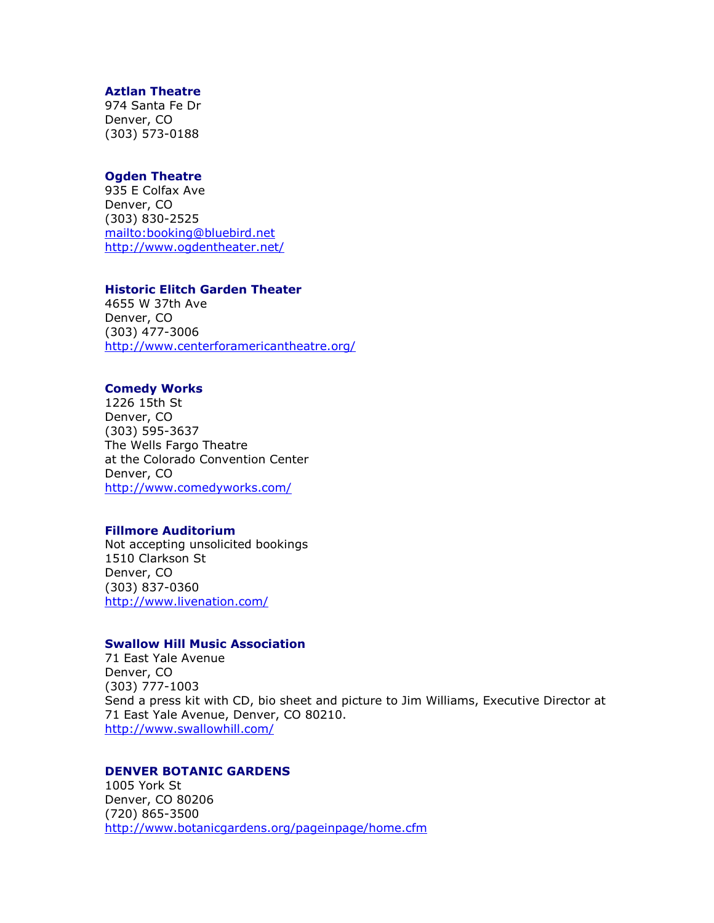### Aztlan Theatre

974 Santa Fe Dr Denver, CO (303) 573-0188

#### Ogden Theatre

935 E Colfax Ave Denver, CO (303) 830-2525 mailto:booking@bluebird.net http://www.ogdentheater.net/

## Historic Elitch Garden Theater

4655 W 37th Ave Denver, CO (303) 477-3006 http://www.centerforamericantheatre.org/

#### Comedy Works

1226 15th St Denver, CO (303) 595-3637 The Wells Fargo Theatre at the Colorado Convention Center Denver, CO http://www.comedyworks.com/

#### Fillmore Auditorium

Not accepting unsolicited bookings 1510 Clarkson St Denver, CO (303) 837-0360 http://www.livenation.com/

### Swallow Hill Music Association

71 East Yale Avenue Denver, CO (303) 777-1003 Send a press kit with CD, bio sheet and picture to Jim Williams, Executive Director at 71 East Yale Avenue, Denver, CO 80210. http://www.swallowhill.com/

# DENVER BOTANIC GARDENS

1005 York St Denver, CO 80206 (720) 865-3500 http://www.botanicgardens.org/pageinpage/home.cfm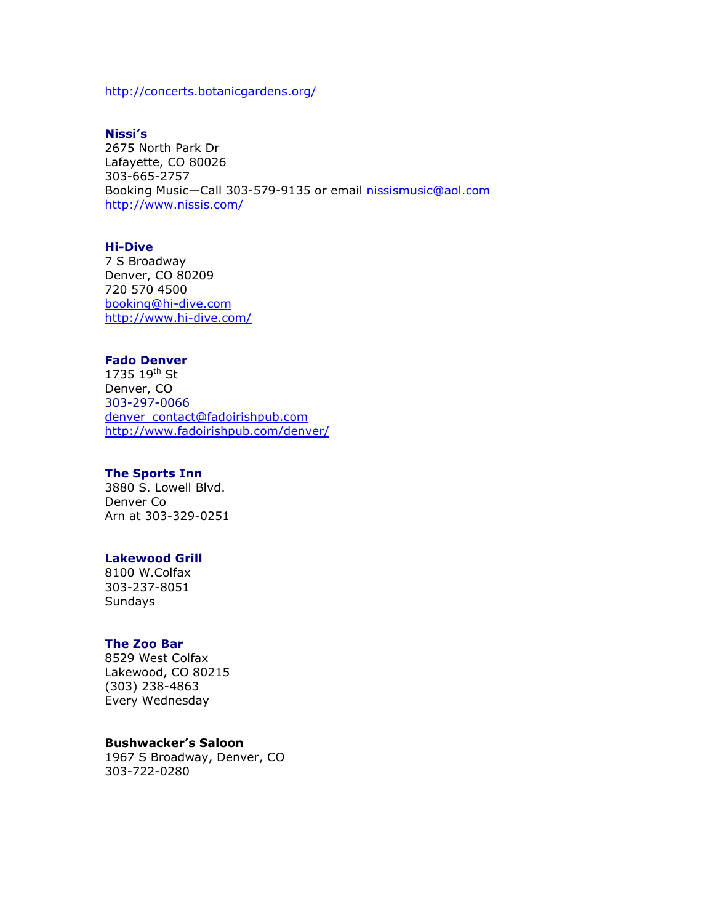http://concerts.botanicgardens.org/

## Nissi's

2675 North Park Dr Lafayette, CO 80026 303-665-2757 Booking Music-Call 303-579-9135 or email nissismusic@aol.com http://www.nissis.com/

#### Hi-Dive

7 S Broadway Denver, CO 80209 720 570 4500 booking@hi-dive.com http://www.hi-dive.com/

## Fado Denver

 $1735$   $19^{th}$  St Denver, CO 303-297-0066 denver\_contact@fadoirishpub.com http://www.fadoirishpub.com/denver/

### The Sports Inn

3880 S. Lowell Blvd. Denver Co Arn at 303-329-0251

# Lakewood Grill

8100 W.Colfax 303-237-8051 Sundays

### The Zoo Bar

8529 West Colfax Lakewood, CO 80215 (303) 238-4863 Every Wednesday

### Bushwacker's Saloon

1967 S Broadway, Denver, CO 303-722-0280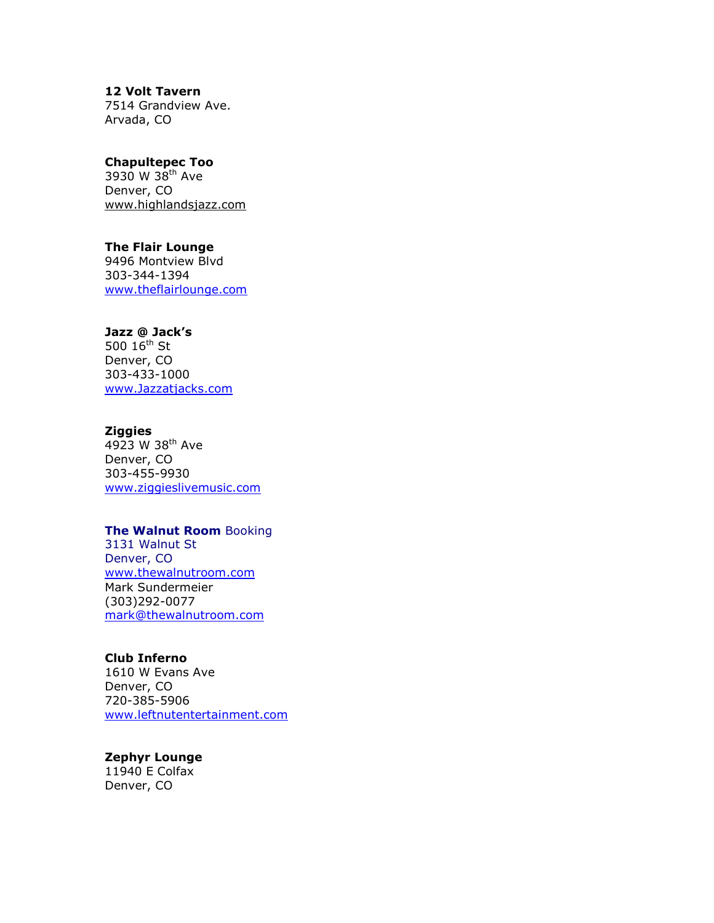12 Volt Tavern

7514 Grandview Ave. Arvada, CO

### Chapultepec Too

3930 W 38th Ave Denver, CO www.highlandsjazz.com

### The Flair Lounge

9496 Montview Blvd 303-344-1394 www.theflairlounge.com

# Jazz @ Jack's

500 16<sup>th</sup> St Denver, CO 303-433-1000 www.Jazzatjacks.com

# **Ziggies**

4923 W 38th Ave Denver, CO 303-455-9930 www.ziggieslivemusic.com

# The Walnut Room Booking

3131 Walnut St Denver, CO www.thewalnutroom.com Mark Sundermeier (303)292-0077 mark@thewalnutroom.com

# Club Inferno

1610 W Evans Ave Denver, CO 720-385-5906 www.leftnutentertainment.com

# Zephyr Lounge

11940 E Colfax Denver, CO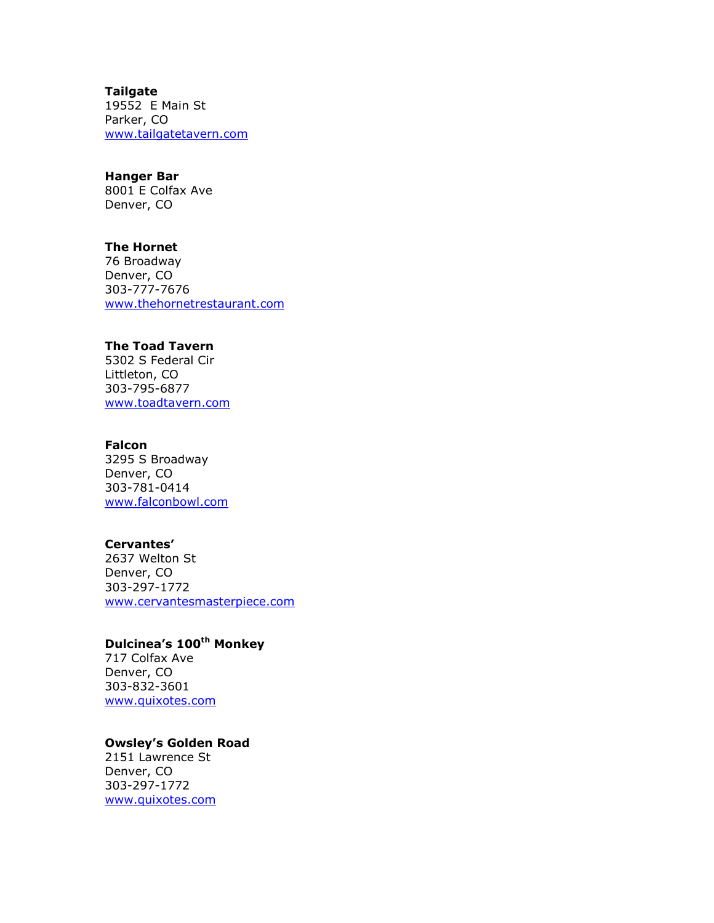## **Tailgate**

19552 E Main St Parker, CO www.tailgatetavern.com

# Hanger Bar

8001 E Colfax Ave Denver, CO

#### The Hornet

76 Broadway Denver, CO 303-777-7676 www.thehornetrestaurant.com

# The Toad Tavern

5302 S Federal Cir Littleton, CO 303-795-6877 www.toadtavern.com

#### Falcon

3295 S Broadway Denver, CO 303-781-0414 www.falconbowl.com

# Cervantes'

2637 Welton St Denver, CO 303-297-1772 www.cervantesmasterpiece.com

# Dulcinea's 100<sup>th</sup> Monkey

717 Colfax Ave Denver, CO 303-832-3601 www.quixotes.com

# Owsley's Golden Road

2151 Lawrence St Denver, CO 303-297-1772 www.quixotes.com